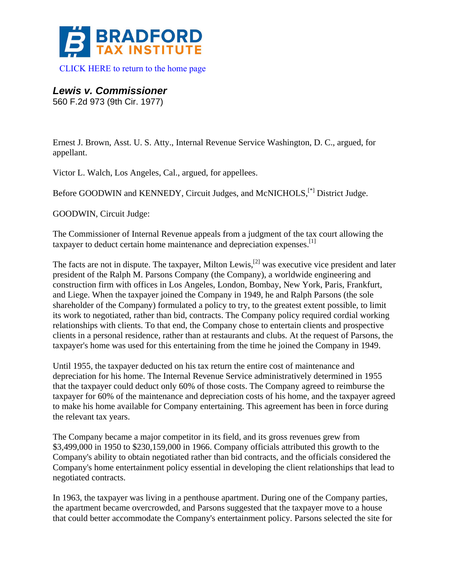

[CLICK HERE to return to the home page](http://bradfordtaxinstitute.com/) 

*Lewis v. Commissioner* 

560 F.2d 973 (9th Cir. 1977)

Ernest J. Brown, Asst. U. S. Atty., Internal Revenue Service Washington, D. C., argued, for appellant.

Victor L. Walch, Los Angeles, Cal., argued, for appellees.

Before GOODWIN and KENNEDY, Circuit Judges, and McNICHOLS,[\*] District Judge.

GOODWIN, Circuit Judge:

The Commissioner of Internal Revenue appeals from a judgment of the tax court allowing the taxpayer to deduct certain home maintenance and depreciation expenses.<sup>[1]</sup>

The facts are not in dispute. The taxpayer, Milton Lewis,<sup>[2]</sup> was executive vice president and later president of the Ralph M. Parsons Company (the Company), a worldwide engineering and construction firm with offices in Los Angeles, London, Bombay, New York, Paris, Frankfurt, and Liege. When the taxpayer joined the Company in 1949, he and Ralph Parsons (the sole shareholder of the Company) formulated a policy to try, to the greatest extent possible, to limit its work to negotiated, rather than bid, contracts. The Company policy required cordial working relationships with clients. To that end, the Company chose to entertain clients and prospective clients in a personal residence, rather than at restaurants and clubs. At the request of Parsons, the taxpayer's home was used for this entertaining from the time he joined the Company in 1949.

Until 1955, the taxpayer deducted on his tax return the entire cost of maintenance and depreciation for his home. The Internal Revenue Service administratively determined in 1955 that the taxpayer could deduct only 60% of those costs. The Company agreed to reimburse the taxpayer for 60% of the maintenance and depreciation costs of his home, and the taxpayer agreed to make his home available for Company entertaining. This agreement has been in force during the relevant tax years.

The Company became a major competitor in its field, and its gross revenues grew from \$3,499,000 in 1950 to \$230,159,000 in 1966. Company officials attributed this growth to the Company's ability to obtain negotiated rather than bid contracts, and the officials considered the Company's home entertainment policy essential in developing the client relationships that lead to negotiated contracts.

In 1963, the taxpayer was living in a penthouse apartment. During one of the Company parties, the apartment became overcrowded, and Parsons suggested that the taxpayer move to a house that could better accommodate the Company's entertainment policy. Parsons selected the site for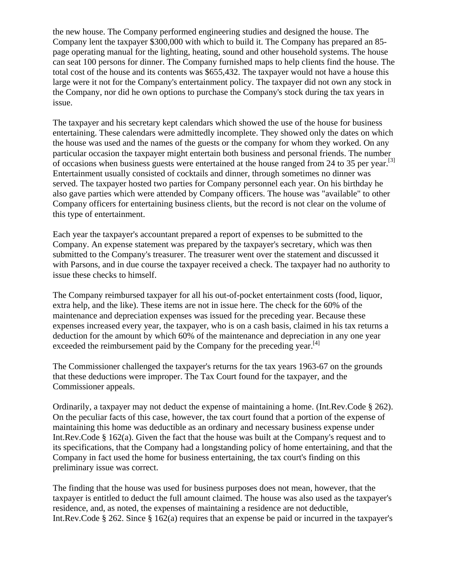the new house. The Company performed engineering studies and designed the house. The Company lent the taxpayer \$300,000 with which to build it. The Company has prepared an 85 page operating manual for the lighting, heating, sound and other household systems. The house can seat 100 persons for dinner. The Company furnished maps to help clients find the house. The total cost of the house and its contents was \$655,432. The taxpayer would not have a house this large were it not for the Company's entertainment policy. The taxpayer did not own any stock in the Company, nor did he own options to purchase the Company's stock during the tax years in issue.

The taxpayer and his secretary kept calendars which showed the use of the house for business entertaining. These calendars were admittedly incomplete. They showed only the dates on which the house was used and the names of the guests or the company for whom they worked. On any particular occasion the taxpayer might entertain both business and personal friends. The number of occasions when business guests were entertained at the house ranged from 24 to 35 per year.<sup>[3]</sup> Entertainment usually consisted of cocktails and dinner, through sometimes no dinner was served. The taxpayer hosted two parties for Company personnel each year. On his birthday he also gave parties which were attended by Company officers. The house was "available" to other Company officers for entertaining business clients, but the record is not clear on the volume of this type of entertainment.

Each year the taxpayer's accountant prepared a report of expenses to be submitted to the Company. An expense statement was prepared by the taxpayer's secretary, which was then submitted to the Company's treasurer. The treasurer went over the statement and discussed it with Parsons, and in due course the taxpayer received a check. The taxpayer had no authority to issue these checks to himself.

The Company reimbursed taxpayer for all his out-of-pocket entertainment costs (food, liquor, extra help, and the like). These items are not in issue here. The check for the 60% of the maintenance and depreciation expenses was issued for the preceding year. Because these expenses increased every year, the taxpayer, who is on a cash basis, claimed in his tax returns a deduction for the amount by which 60% of the maintenance and depreciation in any one year exceeded the reimbursement paid by the Company for the preceding year.<sup>[4]</sup>

The Commissioner challenged the taxpayer's returns for the tax years 1963-67 on the grounds that these deductions were improper. The Tax Court found for the taxpayer, and the Commissioner appeals.

Ordinarily, a taxpayer may not deduct the expense of maintaining a home. (Int.Rev.Code § 262). On the peculiar facts of this case, however, the tax court found that a portion of the expense of maintaining this home was deductible as an ordinary and necessary business expense under Int.Rev.Code § 162(a). Given the fact that the house was built at the Company's request and to its specifications, that the Company had a longstanding policy of home entertaining, and that the Company in fact used the home for business entertaining, the tax court's finding on this preliminary issue was correct.

The finding that the house was used for business purposes does not mean, however, that the taxpayer is entitled to deduct the full amount claimed. The house was also used as the taxpayer's residence, and, as noted, the expenses of maintaining a residence are not deductible, Int.Rev.Code § 262. Since § 162(a) requires that an expense be paid or incurred in the taxpayer's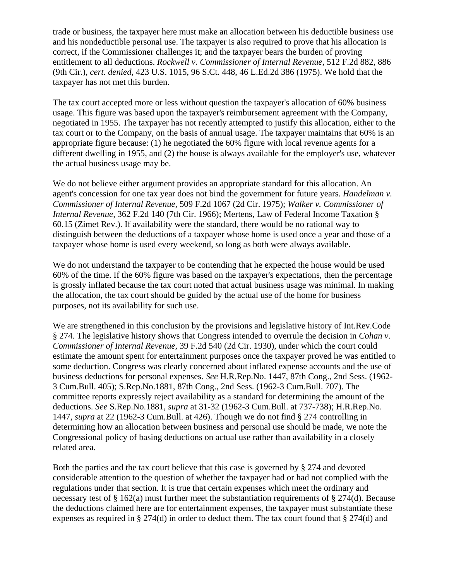trade or business, the taxpayer here must make an allocation between his deductible business use and his nondeductible personal use. The taxpayer is also required to prove that his allocation is correct, if the Commissioner challenges it; and the taxpayer bears the burden of proving entitlement to all deductions. *Rockwell v. Commissioner of Internal Revenue,* 512 F.2d 882, 886 (9th Cir.), *cert. denied,* 423 U.S. 1015, 96 S.Ct. 448, 46 L.Ed.2d 386 (1975). We hold that the taxpayer has not met this burden.

The tax court accepted more or less without question the taxpayer's allocation of 60% business usage. This figure was based upon the taxpayer's reimbursement agreement with the Company, negotiated in 1955. The taxpayer has not recently attempted to justify this allocation, either to the tax court or to the Company, on the basis of annual usage. The taxpayer maintains that 60% is an appropriate figure because: (1) he negotiated the 60% figure with local revenue agents for a different dwelling in 1955, and (2) the house is always available for the employer's use, whatever the actual business usage may be.

We do not believe either argument provides an appropriate standard for this allocation. An agent's concession for one tax year does not bind the government for future years. *Handelman v. Commissioner of Internal Revenue,* 509 F.2d 1067 (2d Cir. 1975); *Walker v. Commissioner of Internal Revenue,* 362 F.2d 140 (7th Cir. 1966); Mertens, Law of Federal Income Taxation § 60.15 (Zimet Rev.). If availability were the standard, there would be no rational way to distinguish between the deductions of a taxpayer whose home is used once a year and those of a taxpayer whose home is used every weekend, so long as both were always available.

We do not understand the taxpayer to be contending that he expected the house would be used 60% of the time. If the 60% figure was based on the taxpayer's expectations, then the percentage is grossly inflated because the tax court noted that actual business usage was minimal. In making the allocation, the tax court should be guided by the actual use of the home for business purposes, not its availability for such use.

We are strengthened in this conclusion by the provisions and legislative history of Int.Rev.Code § 274. The legislative history shows that Congress intended to overrule the decision in *Cohan v. Commissioner of Internal Revenue,* 39 F.2d 540 (2d Cir. 1930), under which the court could estimate the amount spent for entertainment purposes once the taxpayer proved he was entitled to some deduction. Congress was clearly concerned about inflated expense accounts and the use of business deductions for personal expenses. *See* H.R.Rep.No. 1447, 87th Cong., 2nd Sess. (1962- 3 Cum.Bull. 405); S.Rep.No.1881, 87th Cong., 2nd Sess. (1962-3 Cum.Bull. 707). The committee reports expressly reject availability as a standard for determining the amount of the deductions. *See* S.Rep.No.1881, *supra* at 31-32 (1962-3 Cum.Bull. at 737-738); H.R.Rep.No. 1447, *supra* at 22 (1962-3 Cum.Bull. at 426). Though we do not find § 274 controlling in determining how an allocation between business and personal use should be made, we note the Congressional policy of basing deductions on actual use rather than availability in a closely related area.

Both the parties and the tax court believe that this case is governed by § 274 and devoted considerable attention to the question of whether the taxpayer had or had not complied with the regulations under that section. It is true that certain expenses which meet the ordinary and necessary test of  $\S 162(a)$  must further meet the substantiation requirements of  $\S 274(d)$ . Because the deductions claimed here are for entertainment expenses, the taxpayer must substantiate these expenses as required in § 274(d) in order to deduct them. The tax court found that § 274(d) and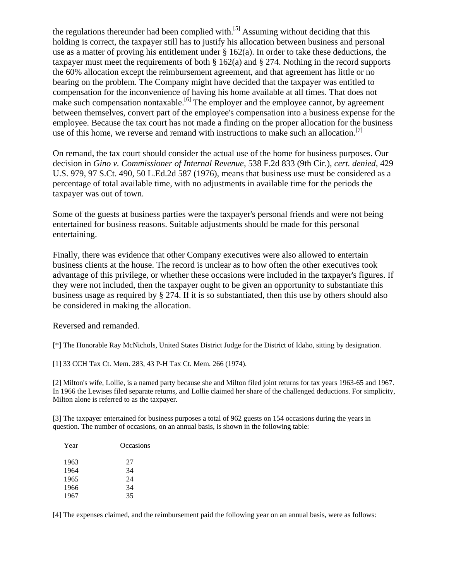the regulations thereunder had been complied with.<sup>[5]</sup> Assuming without deciding that this holding is correct, the taxpayer still has to justify his allocation between business and personal use as a matter of proving his entitlement under  $\S$  162(a). In order to take these deductions, the taxpayer must meet the requirements of both § 162(a) and § 274. Nothing in the record supports the 60% allocation except the reimbursement agreement, and that agreement has little or no bearing on the problem. The Company might have decided that the taxpayer was entitled to compensation for the inconvenience of having his home available at all times. That does not make such compensation nontaxable.<sup>[6]</sup> The employer and the employee cannot, by agreement between themselves, convert part of the employee's compensation into a business expense for the employee. Because the tax court has not made a finding on the proper allocation for the business use of this home, we reverse and remand with instructions to make such an allocation.<sup>[7]</sup>

On remand, the tax court should consider the actual use of the home for business purposes. Our decision in *Gino v. Commissioner of Internal Revenue,* 538 F.2d 833 (9th Cir.), *cert. denied,* 429 U.S. 979, 97 S.Ct. 490, 50 L.Ed.2d 587 (1976), means that business use must be considered as a percentage of total available time, with no adjustments in available time for the periods the taxpayer was out of town.

Some of the guests at business parties were the taxpayer's personal friends and were not being entertained for business reasons. Suitable adjustments should be made for this personal entertaining.

Finally, there was evidence that other Company executives were also allowed to entertain business clients at the house. The record is unclear as to how often the other executives took advantage of this privilege, or whether these occasions were included in the taxpayer's figures. If they were not included, then the taxpayer ought to be given an opportunity to substantiate this business usage as required by § 274. If it is so substantiated, then this use by others should also be considered in making the allocation.

Reversed and remanded.

[\*] The Honorable Ray McNichols, United States District Judge for the District of Idaho, sitting by designation.

[1] 33 CCH Tax Ct. Mem. 283, 43 P-H Tax Ct. Mem. 266 (1974).

[2] Milton's wife, Lollie, is a named party because she and Milton filed joint returns for tax years 1963-65 and 1967. In 1966 the Lewises filed separate returns, and Lollie claimed her share of the challenged deductions. For simplicity, Milton alone is referred to as the taxpayer.

[3] The taxpayer entertained for business purposes a total of 962 guests on 154 occasions during the years in question. The number of occasions, on an annual basis, is shown in the following table:

| Year | Occasions |
|------|-----------|
| 1963 | 27        |
| 1964 | 34        |
| 1965 | 24        |
| 1966 | 34        |
| 1967 | 35        |

[4] The expenses claimed, and the reimbursement paid the following year on an annual basis, were as follows: